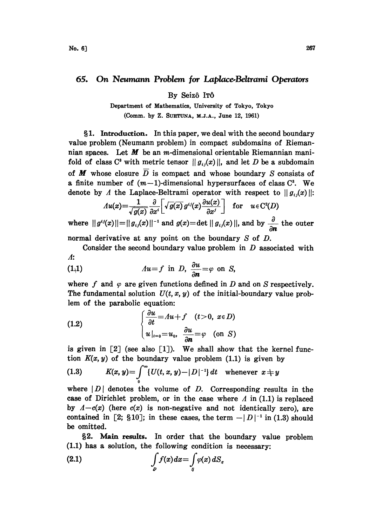## On Neumann Problem for Laplace-Beltrami Operators 65.

By Seizô ITÔ

Department of Mathematics, University of Tokyo, Tokyo (Comm. by Z. SUETUNA, M.J.A., June 12, 1961)

1. Introduction. In this paper, we deal with the second boundary value problem (Neumann problem) in compact subdomains of Riemannian spaces. Let  $M$  be an m-dimensional orientable Riemannian manifold of class C<sup>3</sup> with metric tensor  $||g_{ij}(x)||$ , and let D be a subdomain of M whose closure  $\overline{D}$  is compact and whose boundary S consists of a finite number of  $(m-1)$ -dimensional hypersurfaces of class  $C^3$ . We denote by A the Laplace-Beltrami operator with respect to  $||g_{ij}(x)||$ :

$$
\Lambda u(x) = \frac{1}{\sqrt{g(x)}} \frac{\partial}{\partial x^i} \left[ \sqrt{g(x)} \, g^{ij}(x) \frac{\partial u(x)}{\partial x^j} \right] \quad \text{for} \quad u \in C^2(D)
$$

where  $||g^{ij}(x)|| = ||g_{ij}(x)||^{-1}$  and  $g(x) = \det ||g_{ij}(x)||$ , and by  $\frac{\partial}{\partial n}$  the outer

normal derivative at any point on the boundary  $S$  of  $D$ .

Consider the second boundary value problem in  $D$  associated with A:

(1,1) 
$$
Au = f \text{ in } D, \frac{\partial u}{\partial n} = \varphi \text{ on } S,
$$

where f and  $\varphi$  are given functions defined in D and on S respectively. The fundamental solution  $U(t, x, y)$  of the initial-boundary value problem of the parabolic equation:

(1.2) 
$$
\begin{cases} \frac{\partial u}{\partial t} = Au + f & (t > 0, \ x \in D) \\ u|_{t=0} = u_0, & \frac{\partial u}{\partial n} = \varphi \quad \text{(on } S) \end{cases}
$$

is given in  $[2]$  (see also  $[1]$ ). We shall show that the kernel function  $K(x, y)$  of the boundary value problem (1.1) is given by

$$
\{u|_{t=0} = u_0, \frac{\partial u}{\partial n} = \varphi \quad \text{(on } S\}
$$
\nis given in [2] (see also [1]). We shall show that the ke-  
\ntion  $K(x, y)$  of the boundary value problem (1.1) is given b  
\n(1.3) 
$$
K(x, y) = \int_0^\infty \{U(t, x, y) - |D|^{-1}\} dt \quad \text{whenever } x \neq y
$$

where  $|D|$  denotes the volume of D. Corresponding results in the case of Dirichlet problem, or in the case where  $\Lambda$  in (1.1) is replaced by  $A-c(x)$  (here  $c(x)$  is non-negative and not identically zero), are contained in [2; §10]; in these cases, the term  $-|D|^{-1}$  in (1.3) should be omitted. be omitted.

§2. Main results. In order that the boundary value problem (1.1) has a solution, the following condition is necessary:

(2.1) 
$$
\int_{D} f(x) dx = \int_{S} \varphi(x) dS_x
$$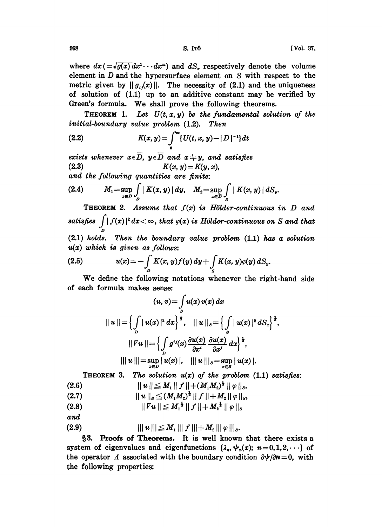where  $dx = \sqrt{g(x)} dx^1 \cdots dx^m$  and  $dS_x$  respectively denote the volume element in  $D$  and the hypersurface element on  $S$  with respect to the metric given by  $||g_{ij}(x)||$ . The necessity of (2.1) and the uniqueness of solution of  $(1.1)$  up to an additive constant may be verified by Green's formula. We shall prove the following theorems.

THEOREM 1. Let  $U(t, x, y)$  be the fundamental solution of the *initial-boundary value problem* (1.2). Then

(2.2) 
$$
K(x,y) = \int_{0}^{\infty} \{U(t,x,y) - |D|^{-1}\} dt
$$

exists whenever  $x \in \overline{D}$ ,  $y \in \overline{D}$  and  $x \neq y$ , and satisfies  $(2.3)$  $K(x, y) = K(y, x),$ 

and the following quantities are finite:

(2.4) 
$$
M_1 = \sup_{x \in D} \int_D |K(x, y)| dy, \quad M_2 = \sup_{x \in D} \int_S |K(x, y)| dS_y.
$$

**THEOREM 2.** Assume that  $f(x)$  is Hölder-continuous in D and satisfies  $\int_{\Omega} |f(x)|^2 dx < \infty$ , that  $\varphi(x)$  is Hölder-continuous on S and that  $(2.1)$  holds. Then the boundary value problem  $(1.1)$  has a solution

 $u(x)$  which is given as follows:

(2.5) 
$$
u(x) = -\int_{D} K(x, y) f(y) dy + \int_{S} K(x, y) \varphi(y) dS_{y}.
$$

We define the following notations whenever the right-hand side of each formula makes sense:

$$
(u, v) = \int_{D} u(x) v(x) dx
$$
  

$$
|| u || = \left\{ \int_{D} |u(x)|^2 dx \right\}^{\frac{1}{2}}, \quad || u ||_{s} = \left\{ \int_{S} |u(x)|^2 dS_{x} \right\}^{\frac{1}{2}},
$$
  

$$
|| | \nabla u || = \left\{ \int_{D} g^{ij}(x) \frac{\partial u(x)}{\partial x^{i}} \frac{\partial u(x)}{\partial x^{j}} dx \right\}^{\frac{1}{2}},
$$
  

$$
|| || u ||| = \sup_{x \in D} |u(x)|, \quad || || u |||_{s} = \sup_{x \in S} |u(x)|.
$$

**THEOREM** 3. The solution  $u(x)$  of the problem  $(1.1)$  satisfies:

$$
(2.6) \t\t ||u|| \leq M_1 ||f|| + (M_1 M_2)^{\frac{1}{2}} ||\varphi||_s,
$$

$$
(2.7) \t\t ||u||_s \leq (M_1M_2)^{\frac{1}{2}} ||f|| + M_2 ||\varphi||_s,
$$

$$
(2.8) \t\t\t ||\mathit{Vu}|| \leq M_1^{\frac{1}{2}} ||f|| + M_2^{\frac{1}{2}} ||\varphi||_s
$$

and

$$
(2.9) \t\t |||u||| \leq M_1 |||f||| + M_2 ||| \varphi |||_s.
$$

§3. Proofs of Theorems. It is well known that there exists a system of eigenvalues and eigenfunctions  $\{\lambda_n, \psi_n(x); n=0,1,2,\cdots\}$  of the operator A associated with the boundary condition  $\partial \psi / \partial n = 0$ , with the following properties: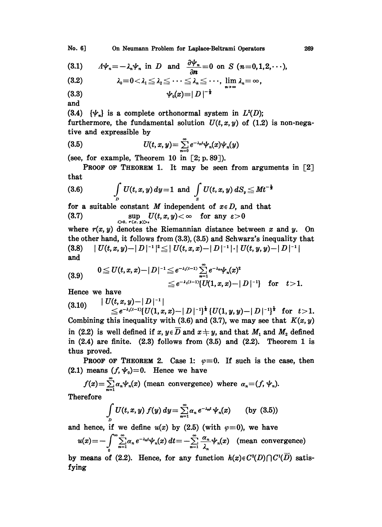(3.1) 
$$
A\psi_n = -\lambda_n \psi_n \text{ in } D \text{ and } \frac{\partial \psi_n}{\partial n} = 0 \text{ on } S \text{ (n=0,1,2,...),}
$$

(3.2) 
$$
\lambda_0=0<\lambda_1\leq \lambda_2\leq \cdots \leq \lambda_n\leq \cdots, \lim_{n\to\infty}\lambda_n=\infty, \n\psi_0(x)\equiv |D|^{-\frac{1}{2}}
$$

(3.3)

and

(3.4)  $\{\psi_n\}$  is a complete orthonormal system in  $L^2(D)$ ; furthermore, the fundamental solution  $U(t, x, y)$  of (1.2) is non-negative and expressible by

(3.5) 
$$
U(t,x,y) = \sum_{n=0}^{\infty} e^{-\lambda_n t} \psi_n(x) \psi_n(y)
$$

(see, for example, Theorem 10 in  $[2; p. 89]$ ).

**PROOF OF THEOREM 1.** It may be seen from arguments in  $\lceil 2 \rceil$ that

(3.6) 
$$
\int_{D} U(t, x, y) dy = 1 \text{ and } \int_{S} U(t, x, y) dS_{y} \leq Mt^{-\frac{1}{2}}
$$

for a suitable constant M independent of  $x \in D$ , and that<br>(3.7) sup  $U(t, x, y) < \infty$  for any  $\varepsilon > 0$ (3.7)  $\sup_{t>0, r(x, y)>t} U(t, x, y) < \infty$  for any  $\epsilon > 0$ 

where  $r(x, y)$  denotes the Riemannian distance between x and y. On the other hand, it follows from (3.3), (3.5) and Schwarz's inequality that (3.8)  $|U(t,x,y)-|D|^{-1}|^2 \leq |U(t,x,x)-|D|^{-1}| \cdot |U(t,y,y)-|D|^{-1}|$ and

$$
(3.9) \qquad \begin{array}{rcl} 0 \le U(t,x,x)-|D|^{-1} \le e^{-\lambda_1 (t-1)} \sum\limits_{n=1}^{\infty} e^{-\lambda_n} \psi_n(x)^2 \\ \le e^{-\lambda_1 (t-1)} [U(1,x,x)-|D|^{-1}] \quad \text{for} \quad t>1. \end{array}
$$

Hence we have

 $(3.10)$   $|U(t, x, y)-|D|^{-1}|$  $\leq \hspace{-0.1cm}\in e^{-\lambda_1 (t-1)} \{ U(1,x,x)-|D|^{-1} \}^{\frac{1}{4}} \left\{ U(1,y,y)-|D|^{-1} \right\}^{\frac{1}{2}} \hspace{0.2cm} \text{for} \hspace{0.2cm} t\hspace{-0.1cm}>\hspace{-0.1cm} 1.$ Combining this inequality with (3.6) and (3.7), we may see that  $K(x, y)$ in (2.2) is well defined if  $x, y \in \overline{D}$  and  $x \neq y$ , and that  $M_1$  and  $M_2$  defined in  $(2.4)$  are finite.  $(2.3)$  follows from  $(3.5)$  and  $(2.2)$ . Theorem 1 is thus proved.

**PROOF OF THEOREM 2.** Case 1:  $\varphi = 0$ . If such is the case, then (2.1) means  $(f, \psi_0) = 0$ . Hence we have

$$
f(x) = \sum_{n=1}^{\infty} \alpha_n \psi_n(x)
$$
 (mean convergence) where  $\alpha_n = (f, \psi_n)$ .  
Therefore

$$
\int\limits_{D} U(t,x,y) f(y) dy = \sum_{n=1}^{\infty} \alpha_n e^{-\lambda_n t} \psi_n(x) \qquad \text{(by (3.5))}
$$

and hence, if we define  $u(x)$  by (2.5) (with  $\varphi=0$ ), we have

$$
u(x) = -\int_0^\infty \sum_{n=1}^\infty \alpha_n e^{-\lambda_n t} \psi_n(x) dt = -\sum_{n=1}^\infty \frac{\alpha_n}{\lambda_n} \psi_n(x) \quad \text{(mean convergence)}
$$

by means of (2.2). Hence, for any function  $h(x) \in C^2(D) \cap C^1(D)$  satisfying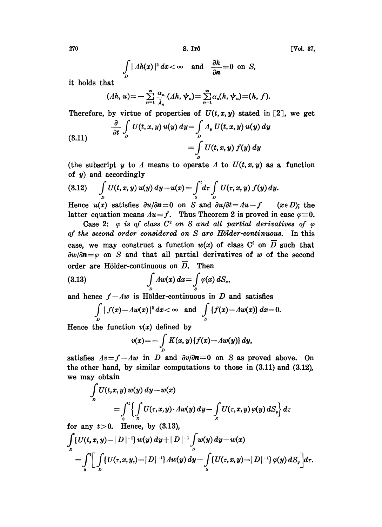$$
\int\limits_D | \Lambda h(x) |^2 \, dx < \infty \quad \text{and} \quad \frac{\partial h}{\partial n} = 0 \text{ on } S,
$$

it holds that

$$
( \Lambda h, u) = - \sum_{n=1}^{\infty} \frac{\alpha_n}{\lambda_n} ( \Lambda h, \psi_n ) = \sum_{n=1}^{\infty} \alpha_n (h, \psi_n ) = (h, f).
$$

Therefore, by virtue of properties of  $U(t, x, y)$  stated in [2], we get

(3.11) 
$$
\frac{\partial}{\partial t} \int\limits_{D} U(t, x, y) u(y) dy = \int\limits_{D} \Lambda_{y} U(t, x, y) u(y) dy
$$

$$
= \int\limits_{D} U(t, x, y) f(y) dy
$$

(the subscript y to A means to operate A to  $U(t, x, y)$  as a function of  $y$ ) and accordingly

(3.12) 
$$
\int_{D} U(t, x, y) u(y) dy - u(x) = \int_{0}^{t} d\tau \int_{D} U(\tau, x, y) f(y) dy.
$$

Hence  $u(x)$  satisfies  $\partial u/\partial n=0$  on S and  $\partial u/\partial t = Au-f$  (xeD); the latter equation means  $Au = f$ . Thus Theorem 2 is proved in case  $\varphi = 0$ .

Case 2:  $\varphi$  is of class  $C^2$  on S and all partial derivatives of  $\varphi$ of the second order considered on  $S$  are Hölder-continuous. In this case, we may construct a function  $w(x)$  of class  $C^2$  on  $\overline{D}$  such that  $\partial w/\partial n = \varphi$  on S and that all partial derivatives of w of the second order are Hölder-continuous on  $\overline{D}$ . Then

(3.13) 
$$
\int\limits_{D} Aw(x) dx = \int\limits_{S} \varphi(x) dS_x,
$$

and hence  $f-Mw$  is Hölder-continuous in D and satisfies

$$
\int\limits_D |f(x)-Aw(x)|^2 dx < \infty \text{ and } \int\limits_D \{f(x)-Aw(x)\} dx = 0.
$$

Hence the function  $v(x)$  defined by

$$
v(x) = -\int\limits_D K(x,y)\{f(x) - Aw(y)\} dy,
$$

satisfies  $Av=f-Aw$  in D and  $\partial v/\partial n=0$  on S as proved above. On the other hand, by similar computations to those in  $(3.11)$  and  $(3.12)$ , we may obtain

$$
\int_{D} U(t, x, y) w(y) dy-w(x)
$$
\n
$$
= \int_{0}^{t} \left\{ \int_{D} U(\tau, x, y) \cdot Aw(y) dy - \int_{S} U(\tau, x, y) \varphi(y) dS_{y} \right\} d\tau
$$

for any 
$$
t > 0
$$
. Hence, by (3.13),  
\n
$$
\int_{D} \{U(t, x, y) - |D|^{-1}\} w(y) dy + |D|^{-1} \int_{D} w(y) dy - w(x)
$$
\n
$$
= \int_{0}^{t} \left[ \int_{D} \{U(\tau, x, y, ) - |D|^{-1}\} dw(y) dy - \int_{S} \{U(\tau, x, y) - |D|^{-1}\} \varphi(y) dS_{y} \right] dx.
$$

[Vol. 37,

 $270$  S.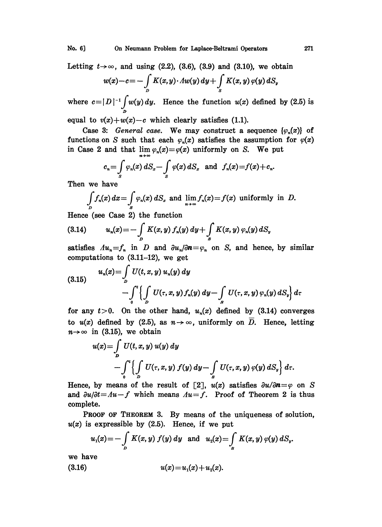Letting  $t\rightarrow\infty$ , and using (2.2), (3.6), (3.9) and (3.10), we obtain

Letting 
$$
t \to \infty
$$
, and using (2.2), (3.6), (3.9) and (3.10), we obtain  
\n
$$
w(x) - c = -\int_{D} K(x, y) \cdot Aw(y) dy + \int_{S} K(x, y) \varphi(y) dS_y
$$
\nwhere  $c = |D|^{-1} \int_{D} w(y) dy$ . Hence the function  $u(x)$  defined by (2.5) is

D

equal to  $v(x)+w(x)-c$  which clearly satisfies (1.1).

Case 3: General case. We may construct a sequence  $\{\varphi_n(x)\}$  of functions on S such that each  $\varphi_n(x)$  satisfies the assumption for  $\varphi(x)$ in Case 2 and that  $\lim_{n\to\infty}\varphi_n(x)=\varphi(x)$  uniformly on S. We put

$$
c_n = \int\limits_{S} \varphi_n(x) \, dS_x - \int\limits_{S} \varphi(x) \, dS_x \text{ and } f_n(x) = f(x) + c_n.
$$

Then we have

$$
\int_{D} f_n(x) dx = \int_{S} \varphi_n(x) dS_x
$$
 and  $\lim_{n \to \infty} f_n(x) = f(x)$  uniformly in D.

Hence (see Case 2) the function

(3.14) 
$$
u_n(x) = -\int\limits_D K(x, y) f_n(y) dy + \int\limits_S K(x, y) \varphi_n(y) dS_y
$$

satisfies  $Au_n=f_n$  in D and  $\partial u_n/\partial n=\varphi_n$  on S, and hence, by similar computations to (3.11-12), we get

(3.15) 
$$
u_n(x) = \int_D U(t, x, y) u_n(y) dy - \int_S U(\tau, x, y) \varphi_n(y) dS_y \Big\} d\tau
$$

$$
- \int_0^t \Big\{ \int_D U(\tau, x, y) f_n(y) dy - \int_S U(\tau, x, y) \varphi_n(y) dS_y \Big\} d\tau
$$

for any  $t > 0$ . On the other hand,  $u_n(x)$  defined by (3.14) converges to  $u(x)$  defined by (2.5), as  $n \to \infty$ , uniformly on  $\overline{D}$ . Hence, letting  $n \rightarrow \infty$  in (3.15), we obtain

$$
u(x) = \int\limits_{D} U(t, x, y) u(y) dy
$$
  
- 
$$
\int\limits_{0}^{t} \left\{ \int\limits_{D} U(\tau, x, y) f(y) dy - \int\limits_{S} U(\tau, x, y) \varphi(y) dS_{y} \right\} d\tau.
$$

Hence, by means of the result of [2],  $u(x)$  satisfies  $\partial u/\partial n = \varphi$  on S and  $\partial u/\partial t = Au - f$  which means  $Au = f$ . Proof of Theorem 2 is thus complete.

PROOF OF THEOREM 3. By means of the uniqueness of solution,  $u(x)$  is expressible by  $(2.5)$ . Hence, if we put

$$
u_1(x) = -\int\limits_D K(x, y) \, f(y) \, dy \text{ and } u_2(x) = \int\limits_S K(x, y) \, \varphi(y) \, dS_y.
$$

we have

$$
(3.16) \t u(x)=u_1(x)+u_2(x).
$$